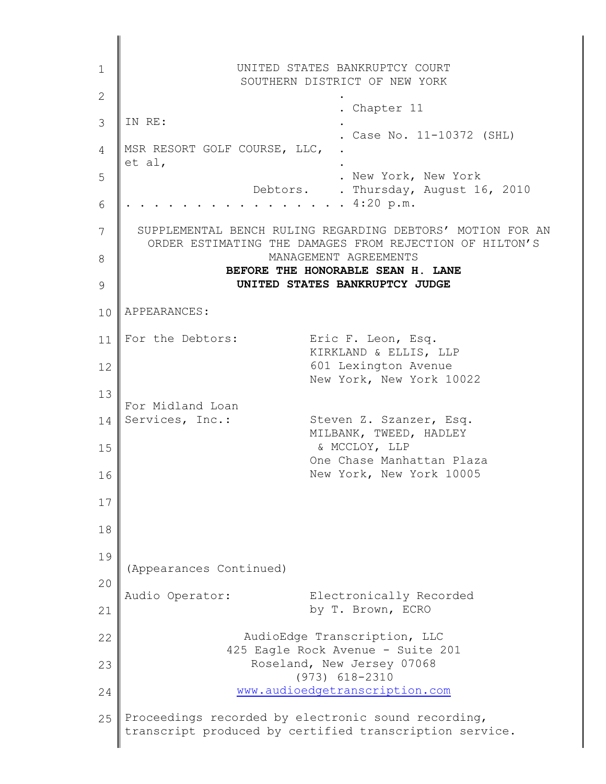| $\mathbf 1$   |                                                                                                                       | UNITED STATES BANKRUPTCY COURT<br>SOUTHERN DISTRICT OF NEW YORK |
|---------------|-----------------------------------------------------------------------------------------------------------------------|-----------------------------------------------------------------|
| $\mathbf{2}$  |                                                                                                                       | Chapter 11                                                      |
| 3             | IN RE:                                                                                                                | Case No. 11-10372 (SHL)                                         |
| 4             | MSR RESORT GOLF COURSE, LLC,<br>et al,                                                                                |                                                                 |
| 5             |                                                                                                                       | . New York, New York<br>Debtors. . Thursday, August 16, 2010    |
| 6             |                                                                                                                       | $\ldots$ 4:20 p.m.                                              |
| 7             | SUPPLEMENTAL BENCH RULING REGARDING DEBTORS' MOTION FOR AN<br>ORDER ESTIMATING THE DAMAGES FROM REJECTION OF HILTON'S |                                                                 |
| 8             |                                                                                                                       | MANAGEMENT AGREEMENTS<br>BEFORE THE HONORABLE SEAN H. LANE      |
| $\mathcal{G}$ |                                                                                                                       | UNITED STATES BANKRUPTCY JUDGE                                  |
| 10            | APPEARANCES:                                                                                                          |                                                                 |
| 11            | For the Debtors:                                                                                                      | Eric F. Leon, Esq.<br>KIRKLAND & ELLIS, LLP                     |
| 12            |                                                                                                                       | 601 Lexington Avenue<br>New York, New York 10022                |
| 13            |                                                                                                                       |                                                                 |
| 14            | For Midland Loan<br>Services, Inc.:                                                                                   | Steven Z. Szanzer, Esq.<br>MILBANK, TWEED, HADLEY               |
| 15            |                                                                                                                       | & MCCLOY, LLP<br>One Chase Manhattan Plaza                      |
| 16            |                                                                                                                       | New York, New York 10005                                        |
| 17            |                                                                                                                       |                                                                 |
| 18            |                                                                                                                       |                                                                 |
| 19            | (Appearances Continued)                                                                                               |                                                                 |
| 20            |                                                                                                                       |                                                                 |
| 21            | Audio Operator:                                                                                                       | Electronically Recorded<br>by T. Brown, ECRO                    |
| 22            |                                                                                                                       | AudioEdge Transcription, LLC                                    |
| 23            | 425 Eagle Rock Avenue - Suite 201<br>Roseland, New Jersey 07068<br>$(973) 618 - 2310$                                 |                                                                 |
| 24            |                                                                                                                       | www.audioedgetranscription.com                                  |
| 25            | Proceedings recorded by electronic sound recording,<br>transcript produced by certified transcription service.        |                                                                 |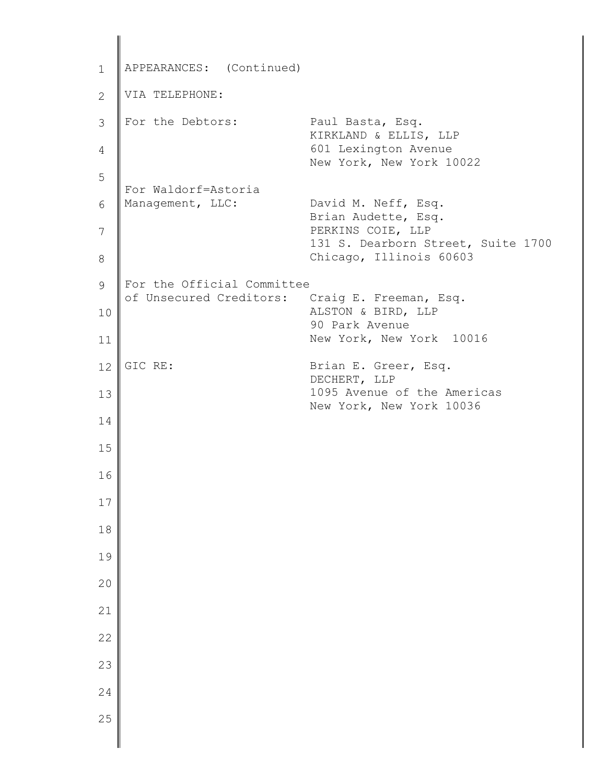| 1            | APPEARANCES: (Continued)                              |                                                                   |
|--------------|-------------------------------------------------------|-------------------------------------------------------------------|
| $\mathbf{2}$ | VIA TELEPHONE:                                        |                                                                   |
| 3<br>4       | For the Debtors:                                      | Paul Basta, Esq.<br>KIRKLAND & ELLIS, LLP<br>601 Lexington Avenue |
| 5            |                                                       | New York, New York 10022                                          |
| 6            | For Waldorf=Astoria<br>Management, LLC:               | David M. Neff, Esq.                                               |
| 7            |                                                       | Brian Audette, Esq.<br>PERKINS COIE, LLP                          |
| 8            |                                                       | 131 S. Dearborn Street, Suite 1700<br>Chicago, Illinois 60603     |
| 9            | For the Official Committee<br>of Unsecured Creditors: |                                                                   |
| 10           |                                                       | Craig E. Freeman, Esq.<br>ALSTON & BIRD, LLP<br>90 Park Avenue    |
| 11           |                                                       | New York, New York 10016                                          |
| 12           | GIC RE:                                               | Brian E. Greer, Esq.<br>DECHERT, LLP                              |
| 13           |                                                       | 1095 Avenue of the Americas<br>New York, New York 10036           |
| 14           |                                                       |                                                                   |
| 15           |                                                       |                                                                   |
| 16           |                                                       |                                                                   |
| 17           |                                                       |                                                                   |
| 18           |                                                       |                                                                   |
| 19           |                                                       |                                                                   |
| 20           |                                                       |                                                                   |
| 21           |                                                       |                                                                   |
| 22           |                                                       |                                                                   |
| 23           |                                                       |                                                                   |
| 24           |                                                       |                                                                   |
| 25           |                                                       |                                                                   |
|              |                                                       |                                                                   |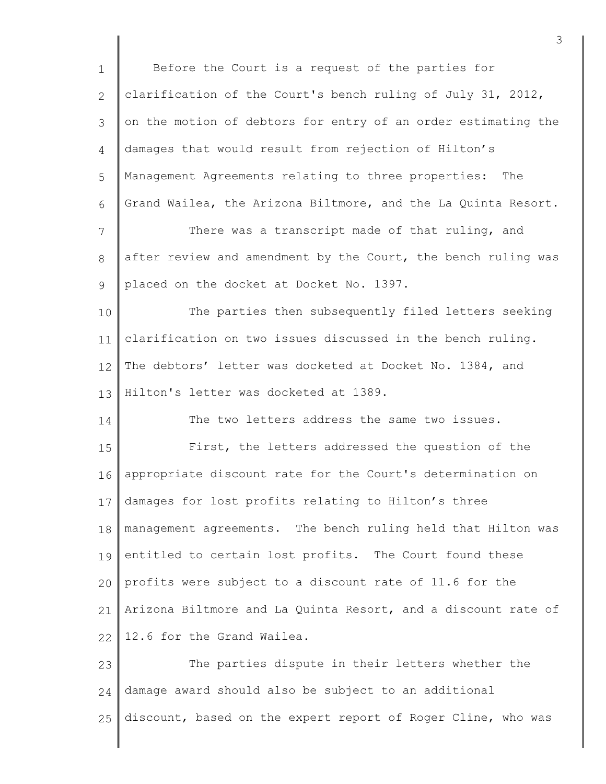|             | 3                                                             |
|-------------|---------------------------------------------------------------|
| $\mathbf 1$ | Before the Court is a request of the parties for              |
| 2           | clarification of the Court's bench ruling of July 31, 2012,   |
| 3           | on the motion of debtors for entry of an order estimating the |
| 4           | damages that would result from rejection of Hilton's          |
| 5           | Management Agreements relating to three properties:<br>The    |
| 6           | Grand Wailea, the Arizona Biltmore, and the La Quinta Resort. |
| 7           | There was a transcript made of that ruling, and               |
| 8           | after review and amendment by the Court, the bench ruling was |
| 9           | placed on the docket at Docket No. 1397.                      |
| 10          | The parties then subsequently filed letters seeking           |
| 11          | clarification on two issues discussed in the bench ruling.    |
| 12          | The debtors' letter was docketed at Docket No. 1384, and      |
| 13          | Hilton's letter was docketed at 1389.                         |
| 14          | The two letters address the same two issues.                  |
| 15          | First, the letters addressed the question of the              |
| 16          | appropriate discount rate for the Court's determination on    |
| 17          | damages for lost profits relating to Hilton's three           |
| 18          | management agreements. The bench ruling held that Hilton was  |
| 19          | entitled to certain lost profits. The Court found these       |
| 20          | profits were subject to a discount rate of 11.6 for the       |
| 21          | Arizona Biltmore and La Quinta Resort, and a discount rate of |
| 22          | 12.6 for the Grand Wailea.                                    |
| 23          | The parties dispute in their letters whether the              |
| 24          | damage award should also be subject to an additional          |
| 25          | discount, based on the expert report of Roger Cline, who was  |
|             |                                                               |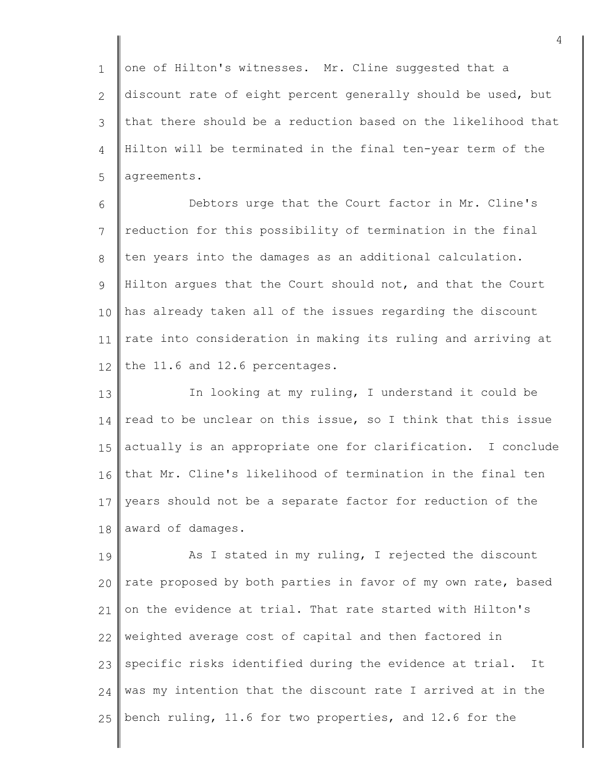1 2 3 4 5 one of Hilton's witnesses. Mr. Cline suggested that a discount rate of eight percent generally should be used, but that there should be a reduction based on the likelihood that Hilton will be terminated in the final ten-year term of the agreements.

6 7 8  $\mathsf{Q}$ 10 11 12 Debtors urge that the Court factor in Mr. Cline's reduction for this possibility of termination in the final ten years into the damages as an additional calculation. Hilton argues that the Court should not, and that the Court has already taken all of the issues regarding the discount rate into consideration in making its ruling and arriving at the 11.6 and 12.6 percentages.

13 14 15 16 17 18 In looking at my ruling, I understand it could be read to be unclear on this issue, so I think that this issue actually is an appropriate one for clarification. I conclude that Mr. Cline's likelihood of termination in the final ten years should not be a separate factor for reduction of the award of damages.

19  $20$ 21 22 23 24 25 As I stated in my ruling, I rejected the discount rate proposed by both parties in favor of my own rate, based on the evidence at trial. That rate started with Hilton's weighted average cost of capital and then factored in specific risks identified during the evidence at trial. It was my intention that the discount rate I arrived at in the bench ruling, 11.6 for two properties, and 12.6 for the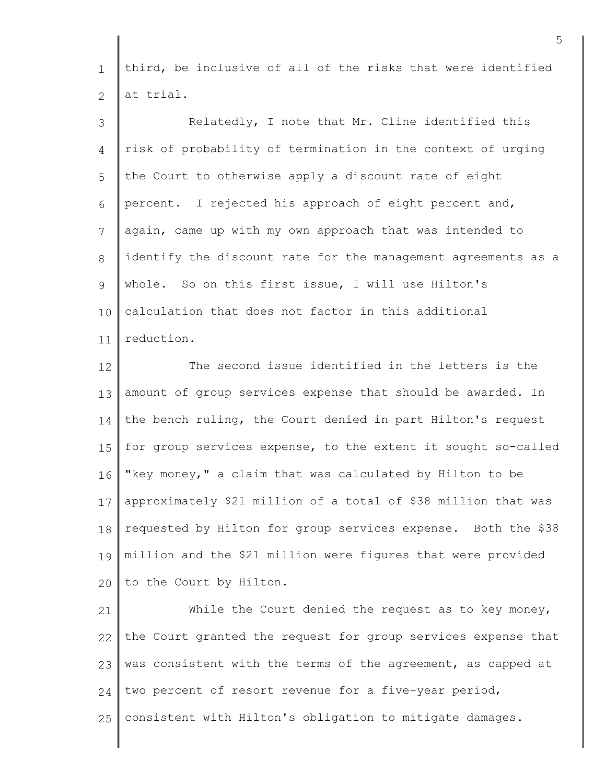1 2 third, be inclusive of all of the risks that were identified at trial.

3 4 5 6 7 8  $\mathsf{Q}$ 10 11 Relatedly, I note that Mr. Cline identified this risk of probability of termination in the context of urging the Court to otherwise apply a discount rate of eight percent. I rejected his approach of eight percent and, again, came up with my own approach that was intended to identify the discount rate for the management agreements as a whole. So on this first issue, I will use Hilton's calculation that does not factor in this additional reduction.

12 13 14 15 16 17 18 19 20 The second issue identified in the letters is the amount of group services expense that should be awarded. In the bench ruling, the Court denied in part Hilton's request for group services expense, to the extent it sought so-called "key money," a claim that was calculated by Hilton to be approximately \$21 million of a total of \$38 million that was requested by Hilton for group services expense. Both the \$38 million and the \$21 million were figures that were provided to the Court by Hilton.

21 22 23 24 25 While the Court denied the request as to key money, the Court granted the request for group services expense that was consistent with the terms of the agreement, as capped at two percent of resort revenue for a five-year period, consistent with Hilton's obligation to mitigate damages.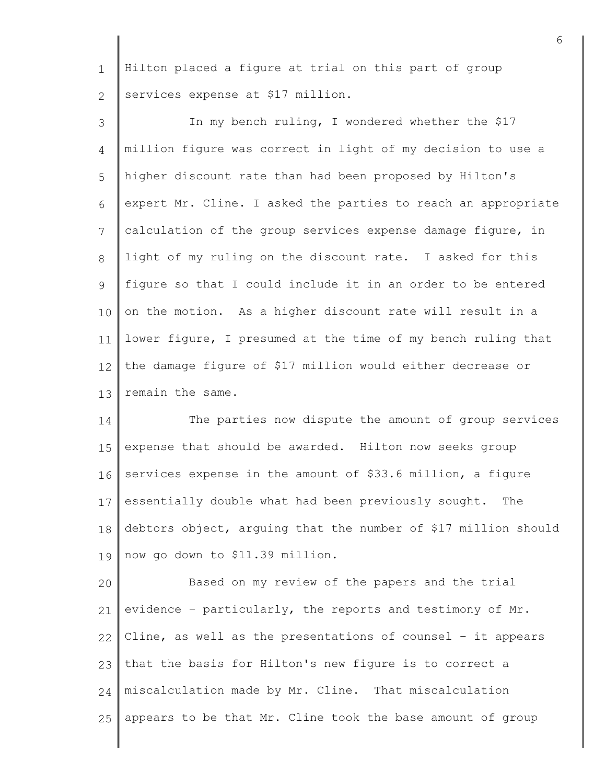1 2 Hilton placed a figure at trial on this part of group services expense at \$17 million.

| $\mathfrak{Z}$ | In my bench ruling, I wondered whether the \$17               |
|----------------|---------------------------------------------------------------|
| 4              | million figure was correct in light of my decision to use a   |
| 5              | higher discount rate than had been proposed by Hilton's       |
| 6              | expert Mr. Cline. I asked the parties to reach an appropriate |
| $\overline{7}$ | calculation of the group services expense damage figure, in   |
| 8              | light of my ruling on the discount rate. I asked for this     |
| 9              | figure so that I could include it in an order to be entered   |
| 10             | on the motion. As a higher discount rate will result in a     |
| 11             | lower figure, I presumed at the time of my bench ruling that  |
| 12             | the damage figure of \$17 million would either decrease or    |
| 13             | remain the same.                                              |
| 14             | The parties now dispute the amount of group services          |
| 15             | expense that should be awarded. Hilton now seeks group        |

15 16 17 18 19 services expense in the amount of \$33.6 million, a figure essentially double what had been previously sought. The debtors object, arguing that the number of \$17 million should now go down to \$11.39 million.

20 21 22 23 24 25 Based on my review of the papers and the trial evidence – particularly, the reports and testimony of Mr. Cline, as well as the presentations of counsel – it appears that the basis for Hilton's new figure is to correct a miscalculation made by Mr. Cline. That miscalculation appears to be that Mr. Cline took the base amount of group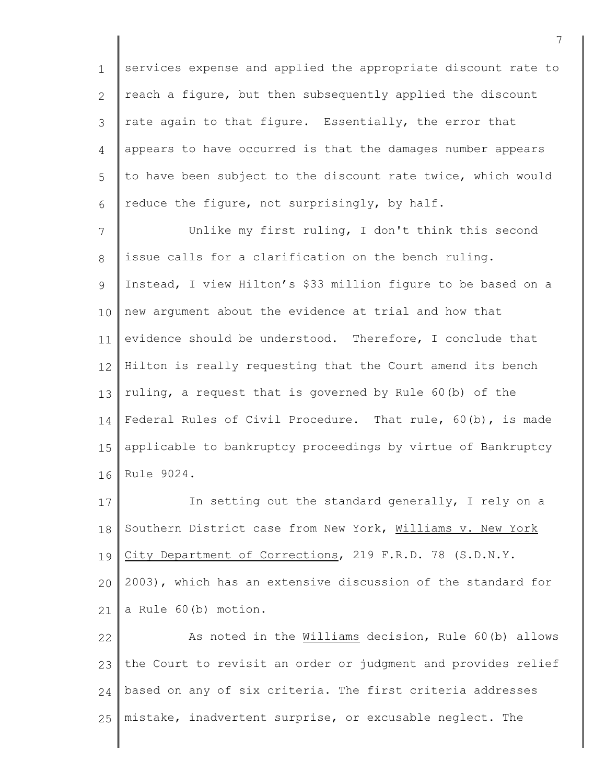1 2 3 4 5 6 services expense and applied the appropriate discount rate to reach a figure, but then subsequently applied the discount rate again to that figure. Essentially, the error that appears to have occurred is that the damages number appears to have been subject to the discount rate twice, which would reduce the figure, not surprisingly, by half.

7 8 9 10 11 12 13 14 15 16 Unlike my first ruling, I don't think this second issue calls for a clarification on the bench ruling. Instead, I view Hilton's \$33 million figure to be based on a new argument about the evidence at trial and how that evidence should be understood. Therefore, I conclude that Hilton is really requesting that the Court amend its bench ruling, a request that is governed by Rule 60(b) of the Federal Rules of Civil Procedure. That rule, 60(b), is made applicable to bankruptcy proceedings by virtue of Bankruptcy Rule 9024.

17 18 19  $20$ 21 In setting out the standard generally, I rely on a Southern District case from New York, Williams v. New York City Department of Corrections, 219 F.R.D. 78 (S.D.N.Y. 2003), which has an extensive discussion of the standard for a Rule 60(b) motion.

22 23 24 25 As noted in the Williams decision, Rule 60(b) allows the Court to revisit an order or judgment and provides relief based on any of six criteria. The first criteria addresses mistake, inadvertent surprise, or excusable neglect. The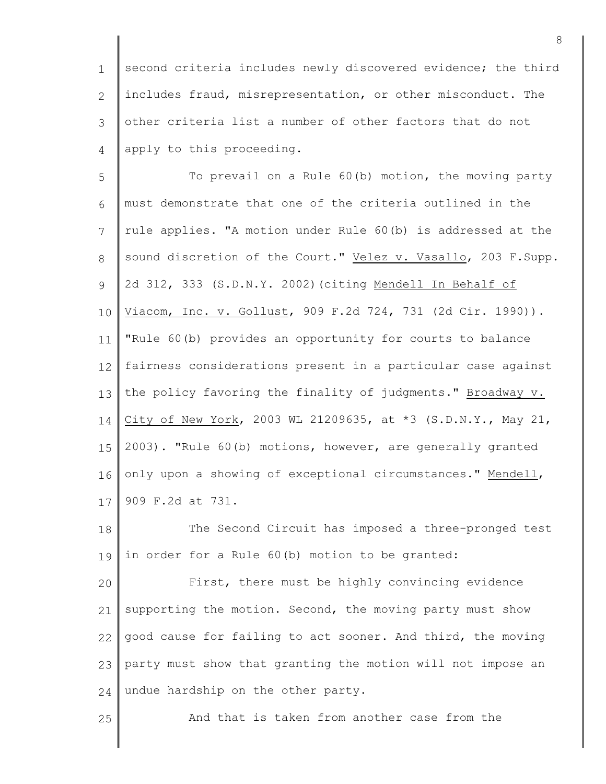1 2 3 4 second criteria includes newly discovered evidence; the third includes fraud, misrepresentation, or other misconduct. The other criteria list a number of other factors that do not apply to this proceeding.

5 6 7 8 9 10 11 12 13 14 15 16 17 To prevail on a Rule 60(b) motion, the moving party must demonstrate that one of the criteria outlined in the rule applies. "A motion under Rule 60(b) is addressed at the sound discretion of the Court." Velez v. Vasallo, 203 F. Supp. 2d 312, 333 (S.D.N.Y. 2002)(citing Mendell In Behalf of Viacom, Inc. v. Gollust, 909 F.2d 724, 731 (2d Cir. 1990)). "Rule 60(b) provides an opportunity for courts to balance fairness considerations present in a particular case against the policy favoring the finality of judgments." Broadway v. City of New York, 2003 WL 21209635, at \*3 (S.D.N.Y., May 21, 2003). "Rule 60(b) motions, however, are generally granted only upon a showing of exceptional circumstances." Mendell, 909 F.2d at 731.

18 19 The Second Circuit has imposed a three-pronged test in order for a Rule 60(b) motion to be granted:

20 21 22 23 24 First, there must be highly convincing evidence supporting the motion. Second, the moving party must show good cause for failing to act sooner. And third, the moving party must show that granting the motion will not impose an undue hardship on the other party.

25

And that is taken from another case from the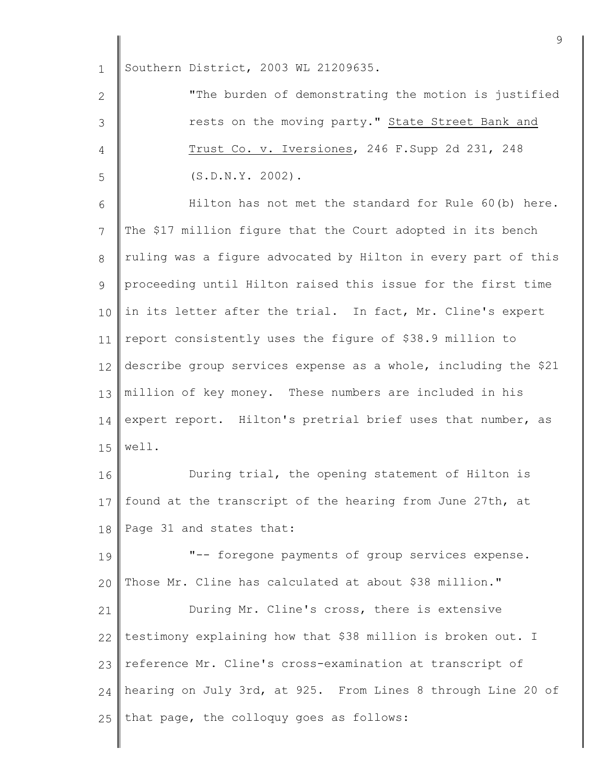Southern District, 2003 WL 21209635.

1

2 3 4 5 6 7 8 9 10 11 12 13 14 15 16 17 18 19 20 21 22 23 24 25 "The burden of demonstrating the motion is justified rests on the moving party." State Street Bank and Trust Co. v. Iversiones, 246 F.Supp 2d 231, 248 (S.D.N.Y. 2002). Hilton has not met the standard for Rule 60(b) here. The \$17 million figure that the Court adopted in its bench ruling was a figure advocated by Hilton in every part of this proceeding until Hilton raised this issue for the first time in its letter after the trial. In fact, Mr. Cline's expert report consistently uses the figure of \$38.9 million to describe group services expense as a whole, including the \$21 million of key money. These numbers are included in his expert report. Hilton's pretrial brief uses that number, as well. During trial, the opening statement of Hilton is found at the transcript of the hearing from June 27th, at Page 31 and states that: "-- foregone payments of group services expense. Those Mr. Cline has calculated at about \$38 million." During Mr. Cline's cross, there is extensive testimony explaining how that \$38 million is broken out. I reference Mr. Cline's cross-examination at transcript of hearing on July 3rd, at 925. From Lines 8 through Line 20 of that page, the colloquy goes as follows: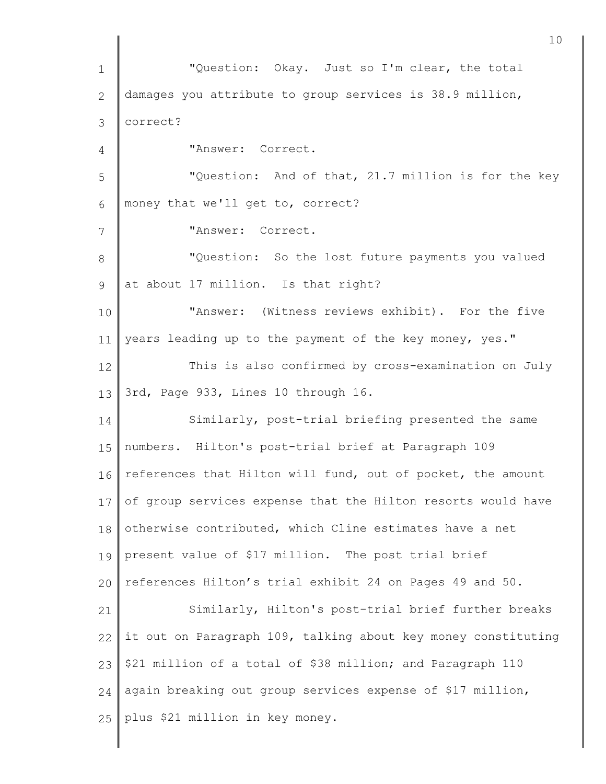|              | 10                                                            |
|--------------|---------------------------------------------------------------|
| $\mathbf 1$  | "Question: Okay. Just so I'm clear, the total                 |
| $\mathbf{2}$ | damages you attribute to group services is 38.9 million,      |
| 3            | correct?                                                      |
| 4            | "Answer: Correct.                                             |
| 5            | "Question: And of that, 21.7 million is for the key           |
| 6            | money that we'll get to, correct?                             |
| 7            | "Answer: Correct.                                             |
| 8            | "Question: So the lost future payments you valued             |
| 9            | at about 17 million. Is that right?                           |
| 10           | "Answer: (Witness reviews exhibit). For the five              |
| 11           | years leading up to the payment of the key money, yes."       |
| 12           | This is also confirmed by cross-examination on July           |
| 13           | 3rd, Page 933, Lines 10 through 16.                           |
| 14           | Similarly, post-trial briefing presented the same             |
| 15           | numbers. Hilton's post-trial brief at Paragraph 109           |
| 16           | references that Hilton will fund, out of pocket, the amount   |
| 17           | of group services expense that the Hilton resorts would have  |
| 18           | otherwise contributed, which Cline estimates have a net       |
| 19           | present value of \$17 million. The post trial brief           |
| 20           | references Hilton's trial exhibit 24 on Pages 49 and 50.      |
| 21           | Similarly, Hilton's post-trial brief further breaks           |
| 22           | it out on Paragraph 109, talking about key money constituting |
| 23           | \$21 million of a total of \$38 million; and Paragraph 110    |
| 24           | again breaking out group services expense of \$17 million,    |
| 25           | plus \$21 million in key money.                               |
|              |                                                               |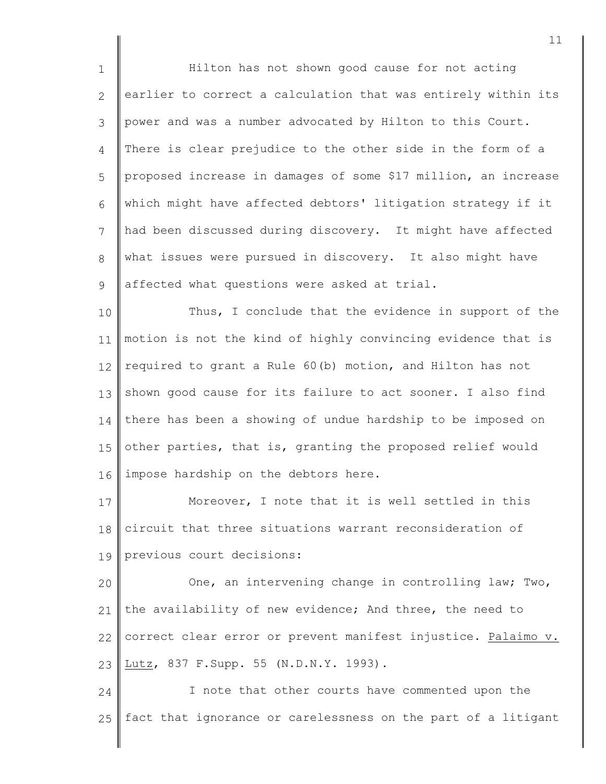1 2 3 4 5 6 7 8 9 10 11 12 13 14 15 16 17 18 19 20 21 22 23 24 Hilton has not shown good cause for not acting earlier to correct a calculation that was entirely within its power and was a number advocated by Hilton to this Court. There is clear prejudice to the other side in the form of a proposed increase in damages of some \$17 million, an increase which might have affected debtors' litigation strategy if it had been discussed during discovery. It might have affected what issues were pursued in discovery. It also might have affected what questions were asked at trial. Thus, I conclude that the evidence in support of the motion is not the kind of highly convincing evidence that is required to grant a Rule 60(b) motion, and Hilton has not shown good cause for its failure to act sooner. I also find there has been a showing of undue hardship to be imposed on other parties, that is, granting the proposed relief would impose hardship on the debtors here. Moreover, I note that it is well settled in this circuit that three situations warrant reconsideration of previous court decisions: One, an intervening change in controlling law; Two, the availability of new evidence; And three, the need to correct clear error or prevent manifest injustice. Palaimo v. Lutz, 837 F.Supp. 55 (N.D.N.Y. 1993). I note that other courts have commented upon the

fact that ignorance or carelessness on the part of a litigant

25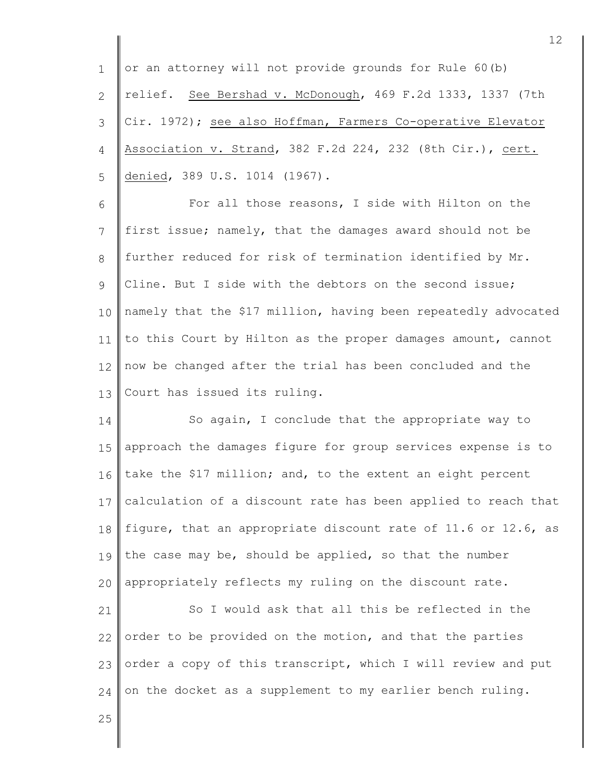1 2 3 4 5 or an attorney will not provide grounds for Rule 60(b) relief. See Bershad v. McDonough, 469 F.2d 1333, 1337 (7th Cir. 1972); see also Hoffman, Farmers Co-operative Elevator Association v. Strand, 382 F.2d 224, 232 (8th Cir.), cert. denied, 389 U.S. 1014 (1967).

6 7 8 9 10 11 12 13 For all those reasons, I side with Hilton on the first issue; namely, that the damages award should not be further reduced for risk of termination identified by Mr. Cline. But I side with the debtors on the second issue; namely that the \$17 million, having been repeatedly advocated to this Court by Hilton as the proper damages amount, cannot now be changed after the trial has been concluded and the Court has issued its ruling.

14 15 16 17 18 19 20 So again, I conclude that the appropriate way to approach the damages figure for group services expense is to take the \$17 million; and, to the extent an eight percent calculation of a discount rate has been applied to reach that figure, that an appropriate discount rate of 11.6 or 12.6, as the case may be, should be applied, so that the number appropriately reflects my ruling on the discount rate.

21 22 23 24 So I would ask that all this be reflected in the order to be provided on the motion, and that the parties order a copy of this transcript, which I will review and put on the docket as a supplement to my earlier bench ruling.

25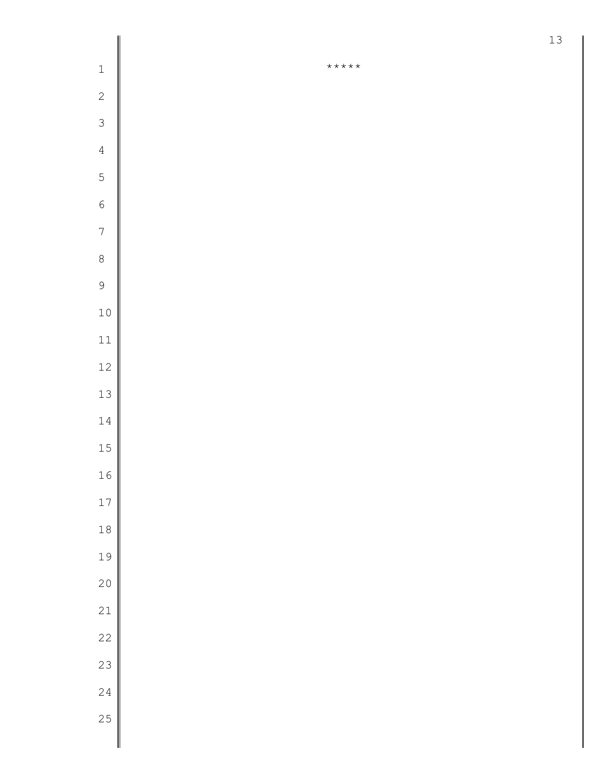|                            | 13    |  |
|----------------------------|-------|--|
| $\ensuremath{\mathbbm{1}}$ | $***$ |  |
| $\sqrt{2}$                 |       |  |
| $\mathfrak{Z}$             |       |  |
| $\sqrt{4}$                 |       |  |
| $\mathbf 5$                |       |  |
| $\sqrt{6}$                 |       |  |
| $\boldsymbol{7}$           |       |  |
| $\,8\,$                    |       |  |
| $\mathcal{G}$              |       |  |
| $10$                       |       |  |
| $11\,$                     |       |  |
| $12\,$                     |       |  |
| 13                         |       |  |
| 14                         |       |  |
| 15                         |       |  |
| 16                         |       |  |
| $17$                       |       |  |
| 18                         |       |  |
| 19                         |       |  |
| 20                         |       |  |
| 21                         |       |  |
| 22                         |       |  |
| 23                         |       |  |
| 24                         |       |  |
| 25                         |       |  |
|                            | Ш     |  |